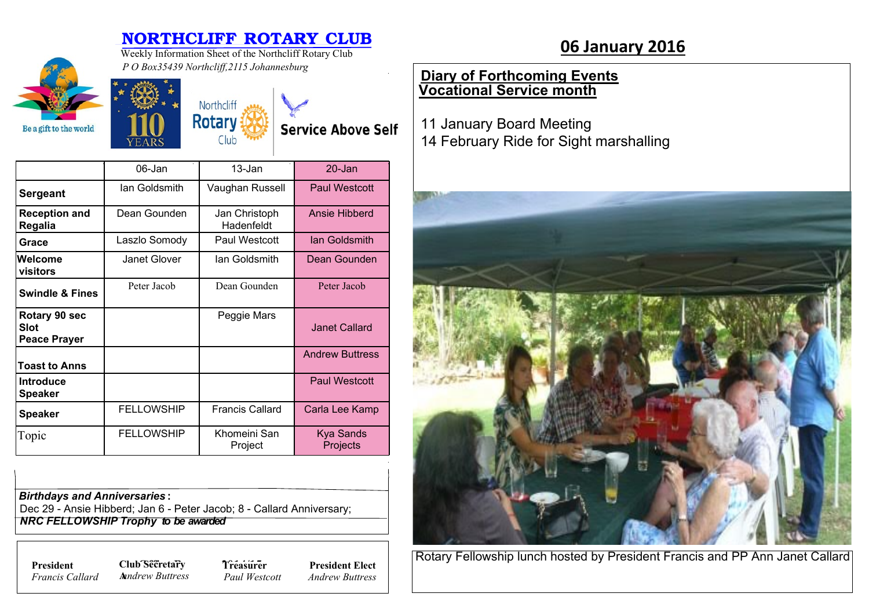### **NORTHCLIFF ROTARY CLUB**<br>Weekly Information Sheet of the Northcliff Rotary Club **06 January 2016** Weekly Information Sheet of the Northcliff Rotary Club





Club

**Service Above Self** 

|                                                     | 06-Jan              | 13-Jan                      | $20 - Jan$             |
|-----------------------------------------------------|---------------------|-----------------------------|------------------------|
| Sergeant                                            | lan Goldsmith       | Vaughan Russell             | <b>Paul Westcott</b>   |
| <b>Reception and</b><br>Regalia                     | Dean Gounden        | Jan Christoph<br>Hadenfeldt | Ansie Hibberd          |
| Grace                                               | Laszlo Somody       | Paul Westcott               | <b>lan Goldsmith</b>   |
| Welcome<br>visitors                                 | <b>Janet Glover</b> | lan Goldsmith               | Dean Gounden           |
| <b>Swindle &amp; Fines</b>                          | Peter Jacob         | Dean Gounden                | Peter Jacob            |
| Rotary 90 sec<br><b>Slot</b><br><b>Peace Prayer</b> |                     | Peggie Mars                 | Janet Callard          |
| Toast to Anns                                       |                     |                             | <b>Andrew Buttress</b> |
| <b>Introduce</b><br><b>Speaker</b>                  |                     |                             | <b>Paul Westcott</b>   |
| <b>Speaker</b>                                      | <b>FELLOWSHIP</b>   | <b>Francis Callard</b>      | Carla Lee Kamp         |
| Topic                                               | <b>FELLOWSHIP</b>   | Khomeini San<br>Project     | Kya Sands<br>Projects  |

| <b>Birthdays and Anniversaries:</b>                |  |
|----------------------------------------------------|--|
| Dec 29 - Ansie Hibberd: Jan 6 - Peter Jacob: 8 - C |  |

Callard Anniversary;  *NRC FELLOWSHIP Trophy to be awarded*

*Francis Callard*

**President Club Secretary 7** *Treasure* **A***nndrew Buttress* **Treasurer** *Paul Westcott*

**President Elect** *Andrew Buttress*

# **Diary of Forthcoming Events Vocational Service month**

11 January Board Meeting 14 February Ride for Sight marshalling



Rotary Fellowship lunch hosted by President Francis and PP Ann Janet Callard